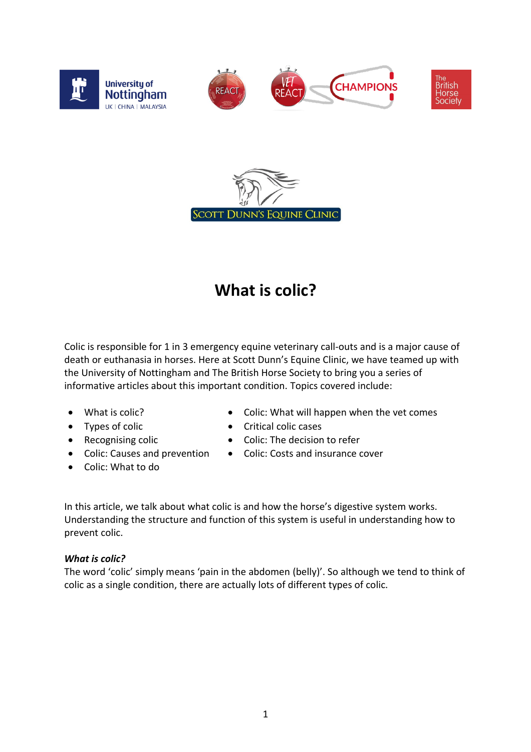



## **What is colic?**

Colic is responsible for 1 in 3 emergency equine veterinary call-outs and is a major cause of death or euthanasia in horses. Here at Scott Dunn's Equine Clinic, we have teamed up with the University of Nottingham and The British Horse Society to bring you a series of informative articles about this important condition. Topics covered include:

- What is colic?
- Types of colic
- Recognising colic
- Colic: Causes and prevention
- Colic: What to do
- Colic: What will happen when the vet comes
- Critical colic cases
- Colic: The decision to refer
- Colic: Costs and insurance cover

In this article, we talk about what colic is and how the horse's digestive system works. Understanding the structure and function of this system is useful in understanding how to prevent colic.

## *What is colic?*

The word 'colic' simply means 'pain in the abdomen (belly)'. So although we tend to think of colic as a single condition, there are actually lots of different types of colic.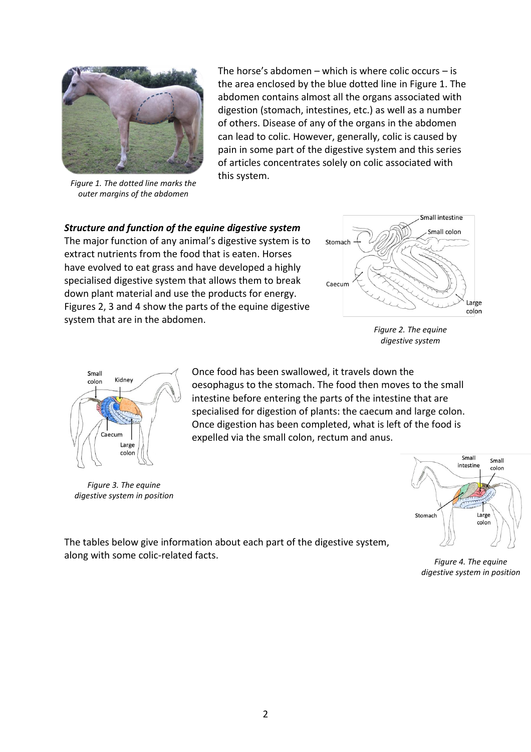

*Figure 1. The dotted line marks the outer margins of the abdomen*

The horse's abdomen – which is where colic occurs – is the area enclosed by the blue dotted line in Figure 1. The abdomen contains almost all the organs associated with digestion (stomach, intestines, etc.) as well as a number of others. Disease of any of the organs in the abdomen can lead to colic. However, generally, colic is caused by pain in some part of the digestive system and this series of articles concentrates solely on colic associated with this system.

## *Structure and function of the equine digestive system*

The major function of any animal's digestive system is to extract nutrients from the food that is eaten. Horses have evolved to eat grass and have developed a highly specialised digestive system that allows them to break down plant material and use the products for energy. Figures 2, 3 and 4 show the parts of the equine digestive system that are in the abdomen.



*Figure 2. The equine digestive system*



*Figure 3. The equine digestive system in position*

Once food has been swallowed, it travels down the oesophagus to the stomach. The food then moves to the small intestine before entering the parts of the intestine that are specialised for digestion of plants: the caecum and large colon. Once digestion has been completed, what is left of the food is expelled via the small colon, rectum and anus.



The tables below give information about each part of the digestive system, along with some colic-related facts.

*Figure 4. The equine digestive system in position*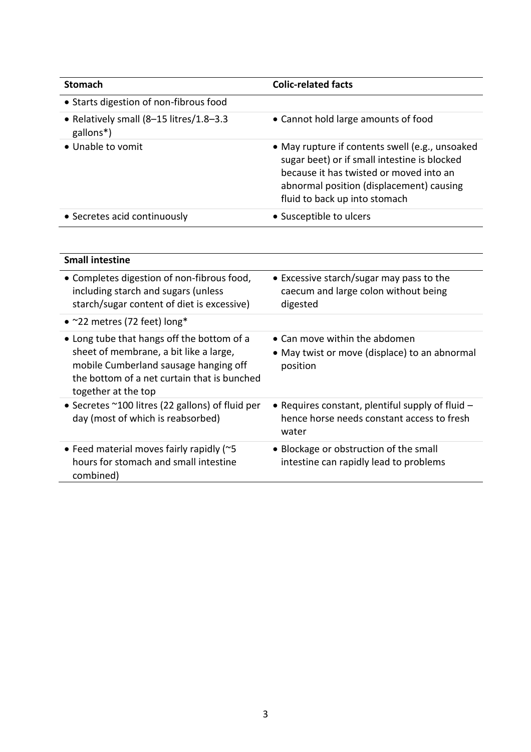| <b>Stomach</b>                                       | <b>Colic-related facts</b>                                                                                                                                                                                              |
|------------------------------------------------------|-------------------------------------------------------------------------------------------------------------------------------------------------------------------------------------------------------------------------|
| • Starts digestion of non-fibrous food               |                                                                                                                                                                                                                         |
| • Relatively small (8-15 litres/1.8-3.3<br>gallons*) | • Cannot hold large amounts of food                                                                                                                                                                                     |
| • Unable to vomit                                    | • May rupture if contents swell (e.g., unsoaked<br>sugar beet) or if small intestine is blocked<br>because it has twisted or moved into an<br>abnormal position (displacement) causing<br>fluid to back up into stomach |
| • Secretes acid continuously                         | • Susceptible to ulcers                                                                                                                                                                                                 |

| <b>Small intestine</b>                                                                                                                                                                              |                                                                                                         |
|-----------------------------------------------------------------------------------------------------------------------------------------------------------------------------------------------------|---------------------------------------------------------------------------------------------------------|
| • Completes digestion of non-fibrous food,<br>including starch and sugars (unless<br>starch/sugar content of diet is excessive)                                                                     | • Excessive starch/sugar may pass to the<br>caecum and large colon without being<br>digested            |
| • $\sim$ 22 metres (72 feet) long*                                                                                                                                                                  |                                                                                                         |
| • Long tube that hangs off the bottom of a<br>sheet of membrane, a bit like a large,<br>mobile Cumberland sausage hanging off<br>the bottom of a net curtain that is bunched<br>together at the top | • Can move within the abdomen<br>• May twist or move (displace) to an abnormal<br>position              |
| • Secretes ~100 litres (22 gallons) of fluid per<br>day (most of which is reabsorbed)                                                                                                               | • Requires constant, plentiful supply of fluid -<br>hence horse needs constant access to fresh<br>water |
| • Feed material moves fairly rapidly (~5<br>hours for stomach and small intestine<br>combined)                                                                                                      | • Blockage or obstruction of the small<br>intestine can rapidly lead to problems                        |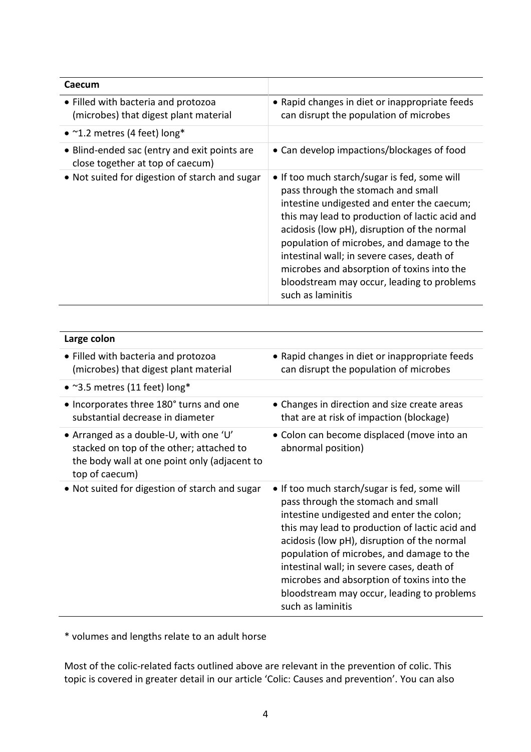| Caecum                                                                           |                                                                                                                                                                                                                                                                                                                                                                                                                                               |
|----------------------------------------------------------------------------------|-----------------------------------------------------------------------------------------------------------------------------------------------------------------------------------------------------------------------------------------------------------------------------------------------------------------------------------------------------------------------------------------------------------------------------------------------|
| • Filled with bacteria and protozoa<br>(microbes) that digest plant material     | • Rapid changes in diet or inappropriate feeds<br>can disrupt the population of microbes                                                                                                                                                                                                                                                                                                                                                      |
| • $\sim$ 1.2 metres (4 feet) long*                                               |                                                                                                                                                                                                                                                                                                                                                                                                                                               |
| • Blind-ended sac (entry and exit points are<br>close together at top of caecum) | • Can develop impactions/blockages of food                                                                                                                                                                                                                                                                                                                                                                                                    |
| • Not suited for digestion of starch and sugar                                   | • If too much starch/sugar is fed, some will<br>pass through the stomach and small<br>intestine undigested and enter the caecum;<br>this may lead to production of lactic acid and<br>acidosis (low pH), disruption of the normal<br>population of microbes, and damage to the<br>intestinal wall; in severe cases, death of<br>microbes and absorption of toxins into the<br>bloodstream may occur, leading to problems<br>such as laminitis |

| Large colon                                                                                                                                          |                                                                                                                                                                                                                                                                                                                                                                                                                                              |
|------------------------------------------------------------------------------------------------------------------------------------------------------|----------------------------------------------------------------------------------------------------------------------------------------------------------------------------------------------------------------------------------------------------------------------------------------------------------------------------------------------------------------------------------------------------------------------------------------------|
| • Filled with bacteria and protozoa<br>(microbes) that digest plant material                                                                         | • Rapid changes in diet or inappropriate feeds<br>can disrupt the population of microbes                                                                                                                                                                                                                                                                                                                                                     |
| • $\degree$ 3.5 metres (11 feet) long*                                                                                                               |                                                                                                                                                                                                                                                                                                                                                                                                                                              |
| • Incorporates three 180° turns and one<br>substantial decrease in diameter                                                                          | • Changes in direction and size create areas<br>that are at risk of impaction (blockage)                                                                                                                                                                                                                                                                                                                                                     |
| • Arranged as a double-U, with one 'U'<br>stacked on top of the other; attached to<br>the body wall at one point only (adjacent to<br>top of caecum) | • Colon can become displaced (move into an<br>abnormal position)                                                                                                                                                                                                                                                                                                                                                                             |
| • Not suited for digestion of starch and sugar                                                                                                       | • If too much starch/sugar is fed, some will<br>pass through the stomach and small<br>intestine undigested and enter the colon;<br>this may lead to production of lactic acid and<br>acidosis (low pH), disruption of the normal<br>population of microbes, and damage to the<br>intestinal wall; in severe cases, death of<br>microbes and absorption of toxins into the<br>bloodstream may occur, leading to problems<br>such as laminitis |

\* volumes and lengths relate to an adult horse

Most of the colic-related facts outlined above are relevant in the prevention of colic. This topic is covered in greater detail in our article 'Colic: Causes and prevention'. You can also